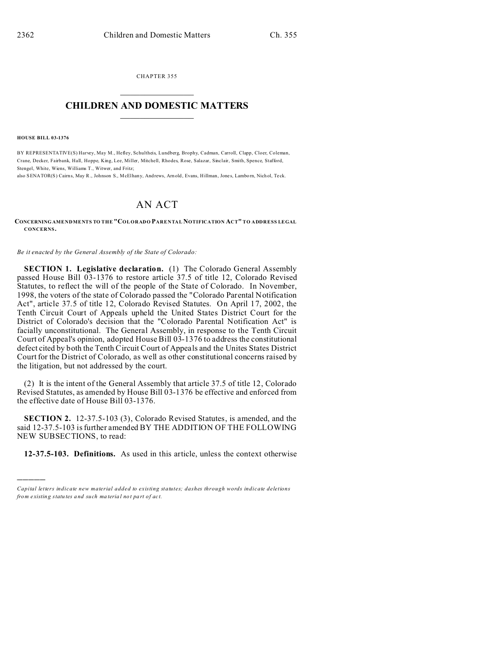CHAPTER 355  $\overline{\phantom{a}}$  , where  $\overline{\phantom{a}}$ 

## **CHILDREN AND DOMESTIC MATTERS**  $\_$   $\_$

**HOUSE BILL 03-1376**

)))))

BY REPRESENTATIVE(S) Harvey, May M., Hefley, Schultheis, Lundberg, Brophy, Cadman, Carroll, Clapp, Cloer, Coleman, Crane, Decker, Fairbank, Hall, Hoppe, King, Lee, Miller, Mitchell, Rhodes, Rose, Salazar, Sinclair, Smith, Spence, Stafford, Stengel, White, Wiens, Williams T., Witwer, and Fritz;

also SENATOR(S) Cairns, May R., Johnson S., McElhany, And rews, Arn old, Evans, Hillman, Jone s, Lambo rn, Nich ol, Te ck.

## AN ACT

**CONCERNING AMENDMENTS TO THE "COLORADO PARENTAL NOTIFICATION ACT" TO ADDRESS LEGAL CONCERNS.**

*Be it enacted by the General Assembly of the State of Colorado:*

**SECTION 1. Legislative declaration.** (1) The Colorado General Assembly passed House Bill 03-1376 to restore article 37.5 of title 12, Colorado Revised Statutes, to reflect the will of the people of the State of Colorado. In November, 1998, the voters of the state of Colorado passed the "Colorado Parental Notification Act", article 37.5 of title 12, Colorado Revised Statutes. On April 17, 2002, the Tenth Circuit Court of Appeals upheld the United States District Court for the District of Colorado's decision that the "Colorado Parental Notification Act" is facially unconstitutional. The General Assembly, in response to the Tenth Circuit Court of Appeal's opinion, adopted House Bill 03-1376 to address the constitutional defect cited by both the Tenth Circuit Court of Appeals and the Unites States District Court for the District of Colorado, as well as other constitutional concerns raised by the litigation, but not addressed by the court.

(2) It is the intent of the General Assembly that article 37.5 of title 12, Colorado Revised Statutes, as amended by House Bill 03-1376 be effective and enforced from the effective date of House Bill 03-1376.

**SECTION 2.** 12-37.5-103 (3), Colorado Revised Statutes, is amended, and the said 12-37.5-103 is further amended BY THE ADDITION OF THE FOLLOWING NEW SUBSECTIONS, to read:

**12-37.5-103. Definitions.** As used in this article, unless the context otherwise

*Capital letters indicate new material added to existing statutes; dashes through words indicate deletions from e xistin g statu tes a nd such ma teria l no t pa rt of ac t.*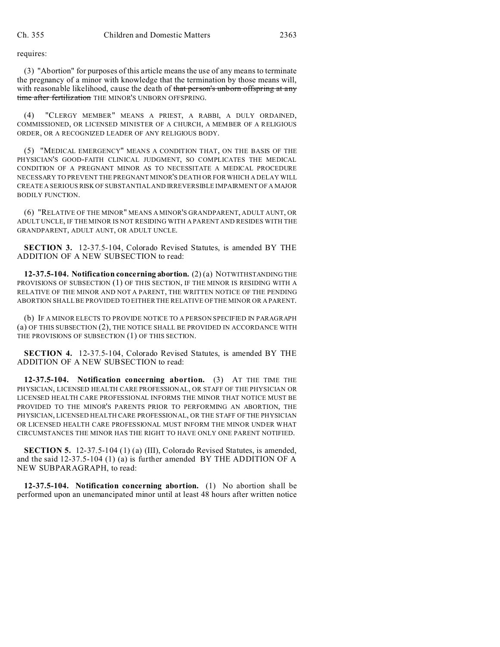requires:

(3) "Abortion" for purposes of this article means the use of any means to terminate the pregnancy of a minor with knowledge that the termination by those means will, with reasonable likelihood, cause the death of that person's unborn offspring at any time after fertilization THE MINOR'S UNBORN OFFSPRING.

(4) "CLERGY MEMBER" MEANS A PRIEST, A RABBI, A DULY ORDAINED, COMMISSIONED, OR LICENSED MINISTER OF A CHURCH, A MEMBER OF A RELIGIOUS ORDER, OR A RECOGNIZED LEADER OF ANY RELIGIOUS BODY.

(5) "MEDICAL EMERGENCY" MEANS A CONDITION THAT, ON THE BASIS OF THE PHYSICIAN'S GOOD-FAITH CLINICAL JUDGMENT, SO COMPLICATES THE MEDICAL CONDITION OF A PREGNANT MINOR AS TO NECESSITATE A MEDICAL PROCEDURE NECESSARY TO PREVENT THE PREGNANT MINOR'S DEATH OR FOR WHICH A DELAY WILL CREATE A SERIOUS RISK OF SUBSTANTIAL AND IRREVERSIBLE IMPAIRMENT OF A MAJOR BODILY FUNCTION.

(6) "RELATIVE OF THE MINOR" MEANS A MINOR'S GRANDPARENT, ADULT AUNT, OR ADULT UNCLE, IF THE MINOR IS NOT RESIDING WITH A PARENT AND RESIDES WITH THE GRANDPARENT, ADULT AUNT, OR ADULT UNCLE.

**SECTION 3.** 12-37.5-104, Colorado Revised Statutes, is amended BY THE ADDITION OF A NEW SUBSECTION to read:

**12-37.5-104. Notification concerning abortion.** (2) (a) NOTWITHSTANDING THE PROVISIONS OF SUBSECTION (1) OF THIS SECTION, IF THE MINOR IS RESIDING WITH A RELATIVE OF THE MINOR AND NOT A PARENT, THE WRITTEN NOTICE OF THE PENDING ABORTION SHALL BE PROVIDED TO EITHER THE RELATIVE OF THE MINOR OR A PARENT.

(b) IF A MINOR ELECTS TO PROVIDE NOTICE TO A PERSON SPECIFIED IN PARAGRAPH (a) OF THIS SUBSECTION (2), THE NOTICE SHALL BE PROVIDED IN ACCORDANCE WITH THE PROVISIONS OF SUBSECTION (1) OF THIS SECTION.

**SECTION 4.** 12-37.5-104, Colorado Revised Statutes, is amended BY THE ADDITION OF A NEW SUBSECTION to read:

**12-37.5-104. Notification concerning abortion.** (3) AT THE TIME THE PHYSICIAN, LICENSED HEALTH CARE PROFESSIONAL, OR STAFF OF THE PHYSICIAN OR LICENSED HEALTH CARE PROFESSIONAL INFORMS THE MINOR THAT NOTICE MUST BE PROVIDED TO THE MINOR'S PARENTS PRIOR TO PERFORMING AN ABORTION, THE PHYSICIAN, LICENSED HEALTH CARE PROFESSIONAL, OR THE STAFF OF THE PHYSICIAN OR LICENSED HEALTH CARE PROFESSIONAL MUST INFORM THE MINOR UNDER WHAT CIRCUMSTANCES THE MINOR HAS THE RIGHT TO HAVE ONLY ONE PARENT NOTIFIED.

**SECTION 5.** 12-37.5-104 (1) (a) (III), Colorado Revised Statutes, is amended, and the said 12-37.5-104 (1) (a) is further amended BY THE ADDITION OF A NEW SUBPARAGRAPH, to read:

**12-37.5-104. Notification concerning abortion.** (1) No abortion shall be performed upon an unemancipated minor until at least 48 hours after written notice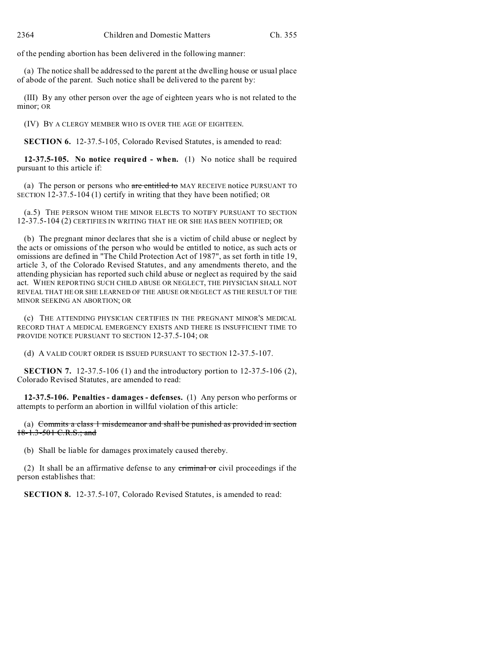of the pending abortion has been delivered in the following manner:

(a) The notice shall be addressed to the parent at the dwelling house or usual place of abode of the parent. Such notice shall be delivered to the parent by:

(III) By any other person over the age of eighteen years who is not related to the minor; OR

(IV) BY A CLERGY MEMBER WHO IS OVER THE AGE OF EIGHTEEN.

**SECTION 6.** 12-37.5-105, Colorado Revised Statutes, is amended to read:

**12-37.5-105. No notice required - when.** (1) No notice shall be required pursuant to this article if:

(a) The person or persons who are entitled to MAY RECEIVE notice PURSUANT TO SECTION 12-37.5-104 (1) certify in writing that they have been notified; OR

(a.5) THE PERSON WHOM THE MINOR ELECTS TO NOTIFY PURSUANT TO SECTION 12-37.5-104 (2) CERTIFIES IN WRITING THAT HE OR SHE HAS BEEN NOTIFIED; OR

(b) The pregnant minor declares that she is a victim of child abuse or neglect by the acts or omissions of the person who would be entitled to notice, as such acts or omissions are defined in "The Child Protection Act of 1987", as set forth in title 19, article 3, of the Colorado Revised Statutes, and any amendments thereto, and the attending physician has reported such child abuse or neglect as required by the said act. WHEN REPORTING SUCH CHILD ABUSE OR NEGLECT, THE PHYSICIAN SHALL NOT REVEAL THAT HE OR SHE LEARNED OF THE ABUSE OR NEGLECT AS THE RESULT OF THE MINOR SEEKING AN ABORTION; OR

(c) THE ATTENDING PHYSICIAN CERTIFIES IN THE PREGNANT MINOR'S MEDICAL RECORD THAT A MEDICAL EMERGENCY EXISTS AND THERE IS INSUFFICIENT TIME TO PROVIDE NOTICE PURSUANT TO SECTION 12-37.5-104; OR

(d) A VALID COURT ORDER IS ISSUED PURSUANT TO SECTION 12-37.5-107.

**SECTION 7.** 12-37.5-106 (1) and the introductory portion to 12-37.5-106 (2), Colorado Revised Statutes, are amended to read:

**12-37.5-106. Penalties - damages - defenses.** (1) Any person who performs or attempts to perform an abortion in willful violation of this article:

(a) Commits a class 1 misdemeanor and shall be punished as provided in section 18-1.3-501 C.R.S.; and

(b) Shall be liable for damages proximately caused thereby.

(2) It shall be an affirmative defense to any criminal or civil proceedings if the person establishes that:

**SECTION 8.** 12-37.5-107, Colorado Revised Statutes, is amended to read: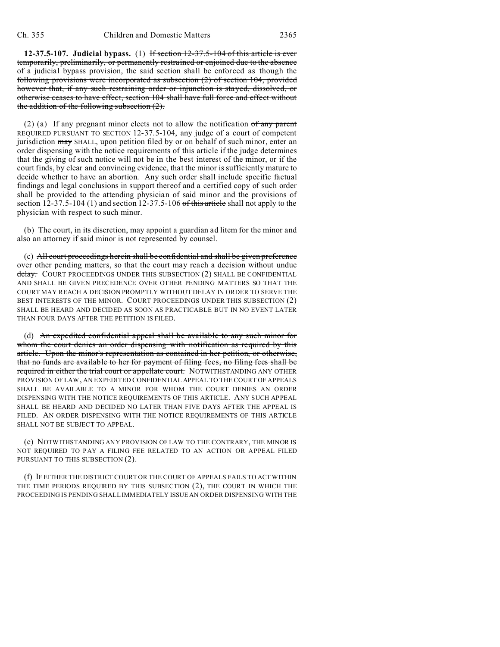**12-37.5-107. Judicial bypass.** (1) If section 12-37.5-104 of this article is ever temporarily, preliminarily, or permanently restrained or enjoined due to the absence of a judicial bypass provision, the said section shall be enforced as though the following provisions were incorporated as subsection (2) of section 104, provided however that, if any such restraining order or injunction is stayed, dissolved, or otherwise ceases to have effect, section 104 shall have full force and effect without the addition of the following subsection (2).

(2) (a) If any pregnant minor elects not to allow the notification  $of$  any parent REQUIRED PURSUANT TO SECTION 12-37.5-104, any judge of a court of competent jurisdiction may SHALL, upon petition filed by or on behalf of such minor, enter an order dispensing with the notice requirements of this article if the judge determines that the giving of such notice will not be in the best interest of the minor, or if the court finds, by clear and convincing evidence, that the minor is sufficiently mature to decide whether to have an abortion. Any such order shall include specific factual findings and legal conclusions in support thereof and a certified copy of such order shall be provided to the attending physician of said minor and the provisions of section  $12-37.5-104$  (1) and section  $12-37.5-106$  of this article shall not apply to the physician with respect to such minor.

(b) The court, in its discretion, may appoint a guardian ad litem for the minor and also an attorney if said minor is not represented by counsel.

(c) All court proceedings herein shall be confidential and shall be given preference over other pending matters, so that the court may reach a decision without undue delay. COURT PROCEEDINGS UNDER THIS SUBSECTION (2) SHALL BE CONFIDENTIAL AND SHALL BE GIVEN PRECEDENCE OVER OTHER PENDING MATTERS SO THAT THE COURT MAY REACH A DECISION PROMPTLY WITHOUT DELAY IN ORDER TO SERVE THE BEST INTERESTS OF THE MINOR. COURT PROCEEDINGS UNDER THIS SUBSECTION (2) SHALL BE HEARD AND DECIDED AS SOON AS PRACTICABLE BUT IN NO EVENT LATER THAN FOUR DAYS AFTER THE PETITION IS FILED.

(d) An expedited confidential appeal shall be available to any such minor for whom the court denies an order dispensing with notification as required by this article. Upon the minor's representation as contained in her petition, or otherwise, that no funds are available to her for payment of filing fees, no filing fees shall be required in either the trial court or appellate court. NOTWITHSTANDING ANY OTHER PROVISION OF LAW, AN EXPEDITED CONFIDENTIAL APPEAL TO THE COURT OF APPEALS SHALL BE AVAILABLE TO A MINOR FOR WHOM THE COURT DENIES AN ORDER DISPENSING WITH THE NOTICE REQUIREMENTS OF THIS ARTICLE. ANY SUCH APPEAL SHALL BE HEARD AND DECIDED NO LATER THAN FIVE DAYS AFTER THE APPEAL IS FILED. AN ORDER DISPENSING WITH THE NOTICE REQUIREMENTS OF THIS ARTICLE SHALL NOT BE SUBJECT TO APPEAL.

(e) NOTWITHSTANDING ANY PROVISION OF LAW TO THE CONTRARY, THE MINOR IS NOT REQUIRED TO PAY A FILING FEE RELATED TO AN ACTION OR APPEAL FILED PURSUANT TO THIS SUBSECTION (2).

(f) IF EITHER THE DISTRICT COURT OR THE COURT OF APPEALS FAILS TO ACT WITHIN THE TIME PERIODS REQUIRED BY THIS SUBSECTION (2), THE COURT IN WHICH THE PROCEEDING IS PENDING SHALL IMMEDIATELY ISSUE AN ORDER DISPENSING WITH THE